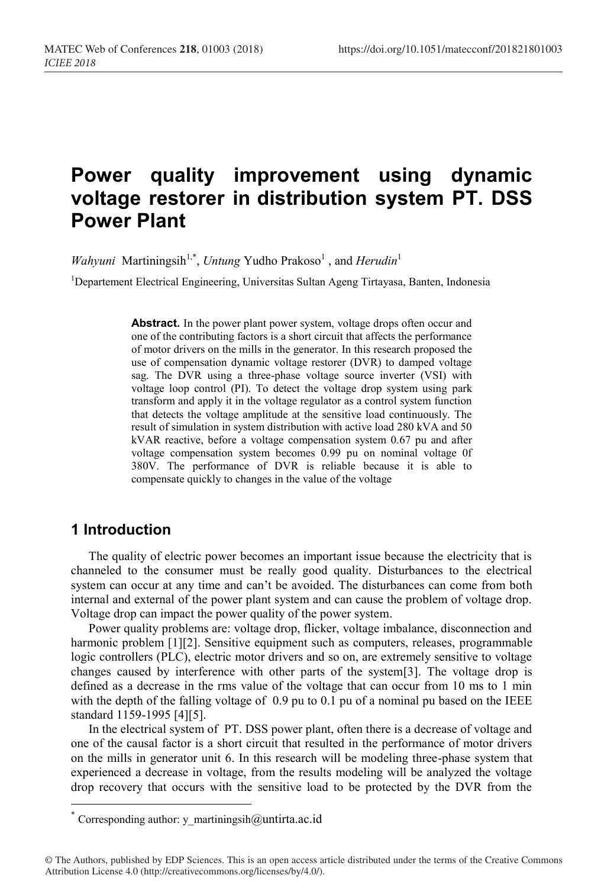# **Power quality improvement using dynamic voltage restorer in distribution system PT. DSS Power Plant**

*Wahyuni* Martiningsih<sup>1,\*</sup>, *Untung* Yudho Prakoso<sup>1</sup>, and *Herudin*<sup>1</sup>

<sup>1</sup>Departement Electrical Engineering, Universitas Sultan Ageng Tirtayasa, Banten, Indonesia

Abstract. In the power plant power system, voltage drops often occur and one of the contributing factors is a short circuit that affects the performance of motor drivers on the mills in the generator. In this research proposed the use of compensation dynamic voltage restorer (DVR) to damped voltage sag. The DVR using a three-phase voltage source inverter (VSI) with voltage loop control (PI). To detect the voltage drop system using park transform and apply it in the voltage regulator as a control system function that detects the voltage amplitude at the sensitive load continuously. The result of simulation in system distribution with active load 280 kVA and 50 kVAR reactive, before a voltage compensation system 0.67 pu and after voltage compensation system becomes 0.99 pu on nominal voltage 0f 380V. The performance of DVR is reliable because it is able to compensate quickly to changes in the value of the voltage

## **1 Introduction**

The quality of electric power becomes an important issue because the electricity that is channeled to the consumer must be really good quality. Disturbances to the electrical system can occur at any time and can't be avoided. The disturbances can come from both internal and external of the power plant system and can cause the problem of voltage drop. Voltage drop can impact the power quality of the power system.

Power quality problems are: voltage drop, flicker, voltage imbalance, disconnection and harmonic problem [1][2]. Sensitive equipment such as computers, releases, programmable logic controllers (PLC), electric motor drivers and so on, are extremely sensitive to voltage changes caused by interference with other parts of the system[3]. The voltage drop is defined as a decrease in the rms value of the voltage that can occur from 10 ms to 1 min with the depth of the falling voltage of 0.9 pu to 0.1 pu of a nominal pu based on the IEEE standard 1159-1995 [4][5].

In the electrical system of PT. DSS power plant, often there is a decrease of voltage and one of the causal factor is a short circuit that resulted in the performance of motor drivers on the mills in generator unit 6. In this research will be modeling three-phase system that experienced a decrease in voltage, from the results modeling will be analyzed the voltage drop recovery that occurs with the sensitive load to be protected by the DVR from the

<sup>\*</sup> Corresponding author: y\_martiningsih $@$ untirta.ac.id

<sup>©</sup> The Authors, published by EDP Sciences. This is an open access article distributed under the terms of the Creative Commons Attribution License 4.0 (http://creativecommons.org/licenses/by/4.0/).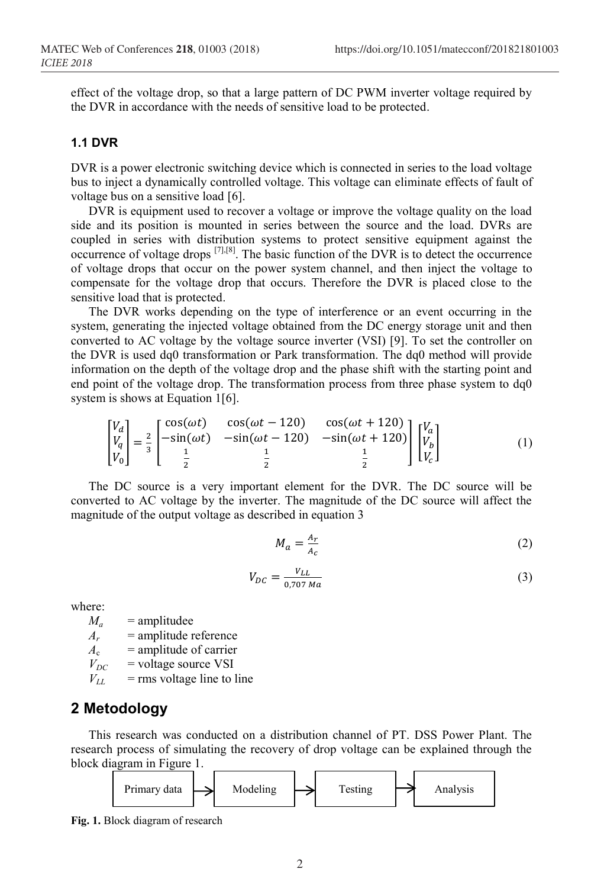effect of the voltage drop, so that a large pattern of DC PWM inverter voltage required by the DVR in accordance with the needs of sensitive load to be protected.

#### **1.1 DVR**

DVR is a power electronic switching device which is connected in series to the load voltage bus to inject a dynamically controlled voltage. This voltage can eliminate effects of fault of voltage bus on a sensitive load [6].

DVR is equipment used to recover a voltage or improve the voltage quality on the load side and its position is mounted in series between the source and the load. DVRs are coupled in series with distribution systems to protect sensitive equipment against the occurrence of voltage drops [7],[8]. The basic function of the DVR is to detect the occurrence of voltage drops that occur on the power system channel, and then inject the voltage to compensate for the voltage drop that occurs. Therefore the DVR is placed close to the sensitive load that is protected.

The DVR works depending on the type of interference or an event occurring in the system, generating the injected voltage obtained from the DC energy storage unit and then converted to AC voltage by the voltage source inverter (VSI) [9]. To set the controller on the DVR is used dq0 transformation or Park transformation. The dq0 method will provide information on the depth of the voltage drop and the phase shift with the starting point and end point of the voltage drop. The transformation process from three phase system to dq0 system is shows at Equation 1[6].

$$
\begin{bmatrix} V_d \\ V_q \\ V_0 \end{bmatrix} = \frac{2}{3} \begin{bmatrix} \cos(\omega t) & \cos(\omega t - 120) & \cos(\omega t + 120) \\ -\sin(\omega t) & -\sin(\omega t - 120) & -\sin(\omega t + 120) \\ \frac{1}{2} & \frac{1}{2} & \frac{1}{2} \end{bmatrix} \begin{bmatrix} V_a \\ V_b \\ V_c \end{bmatrix}
$$
(1)

The DC source is a very important element for the DVR. The DC source will be converted to AC voltage by the inverter. The magnitude of the DC source will affect the magnitude of the output voltage as described in equation 3

$$
M_a = \frac{A_r}{A_c} \tag{2}
$$

$$
V_{DC} = \frac{V_{LL}}{0.707 Ma}
$$
 (3)

where:

 $M_a$  = amplitudee  $A_r$  = amplitude reference  $A_c$  = amplitude of carrier

 $V_{DC}$  = voltage source VSI<br> $V_{11}$  = rms voltage line to 1 = rms voltage line to line

# **2 Metodology**

This research was conducted on a distribution channel of PT. DSS Power Plant. The research process of simulating the recovery of drop voltage can be explained through the block diagram in Figure 1.



**Fig. 1.** Block diagram of research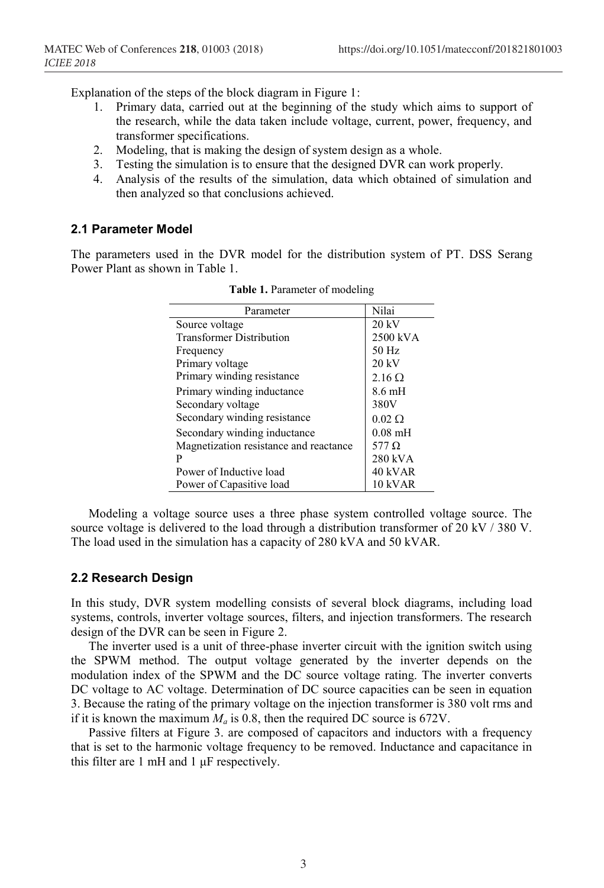Explanation of the steps of the block diagram in Figure 1:

- 1. Primary data, carried out at the beginning of the study which aims to support of the research, while the data taken include voltage, current, power, frequency, and transformer specifications.
- 2. Modeling, that is making the design of system design as a whole.
- 3. Testing the simulation is to ensure that the designed DVR can work properly.
- 4. Analysis of the results of the simulation, data which obtained of simulation and then analyzed so that conclusions achieved.

#### **2.1 Parameter Model**

The parameters used in the DVR model for the distribution system of PT. DSS Serang Power Plant as shown in Table 1.

| Parameter                              | Nilai             |
|----------------------------------------|-------------------|
| Source voltage                         | $20 \text{ kV}$   |
| <b>Transformer Distribution</b>        | 2500 kVA          |
| Frequency                              | $50$ Hz           |
| Primary voltage                        | 20 kV             |
| Primary winding resistance             | $2.16 \Omega$     |
| Primary winding inductance             | $8.6 \text{ mH}$  |
| Secondary voltage                      | 380V              |
| Secondary winding resistance           | $0.02 \Omega$     |
| Secondary winding inductance           | $0.08 \text{ mH}$ |
| Magnetization resistance and reactance | 577 $\Omega$      |
| P                                      | 280 kVA           |
| Power of Inductive load                | 40 kVAR           |
| Power of Capasitive load               | 10 kVAR           |

**Table 1.** Parameter of modeling

Modeling a voltage source uses a three phase system controlled voltage source. The source voltage is delivered to the load through a distribution transformer of 20 kV / 380 V. The load used in the simulation has a capacity of 280 kVA and 50 kVAR.

#### **2.2 Research Design**

In this study, DVR system modelling consists of several block diagrams, including load systems, controls, inverter voltage sources, filters, and injection transformers. The research design of the DVR can be seen in Figure 2.

The inverter used is a unit of three-phase inverter circuit with the ignition switch using the SPWM method. The output voltage generated by the inverter depends on the modulation index of the SPWM and the DC source voltage rating. The inverter converts DC voltage to AC voltage. Determination of DC source capacities can be seen in equation 3. Because the rating of the primary voltage on the injection transformer is 380 volt rms and if it is known the maximum  $M_a$  is 0.8, then the required DC source is 672V.

Passive filters at Figure 3. are composed of capacitors and inductors with a frequency that is set to the harmonic voltage frequency to be removed. Inductance and capacitance in this filter are 1 mH and 1 μF respectively.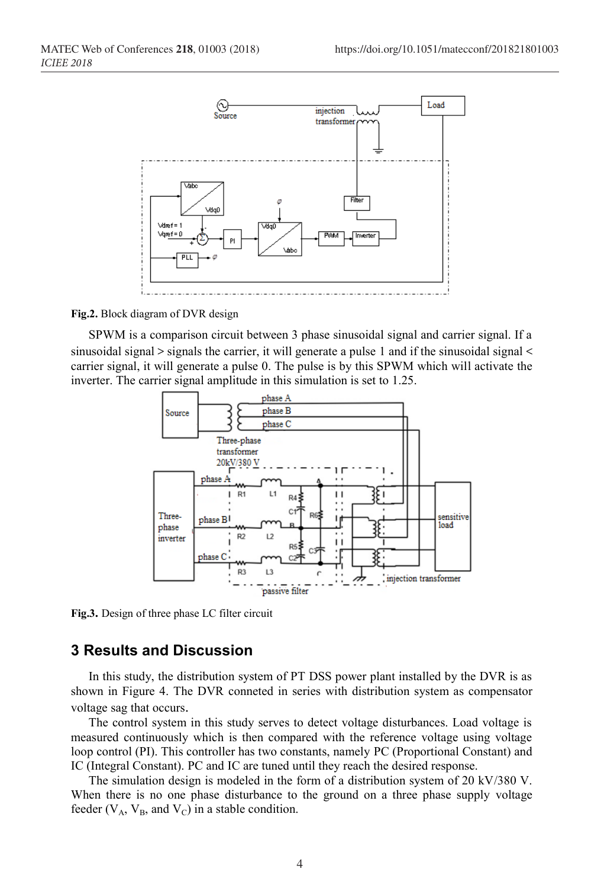

**Fig.2.** Block diagram of DVR design

SPWM is a comparison circuit between 3 phase sinusoidal signal and carrier signal. If a sinusoidal signal  $>$  signals the carrier, it will generate a pulse 1 and if the sinusoidal signal  $<$ carrier signal, it will generate a pulse 0. The pulse is by this SPWM which will activate the inverter. The carrier signal amplitude in this simulation is set to 1.25.



**Fig.3.** Design of three phase LC filter circuit

## **3 Results and Discussion**

In this study, the distribution system of PT DSS power plant installed by the DVR is as shown in Figure 4. The DVR conneted in series with distribution system as compensator voltage sag that occurs.

The control system in this study serves to detect voltage disturbances. Load voltage is measured continuously which is then compared with the reference voltage using voltage loop control (PI). This controller has two constants, namely PC (Proportional Constant) and IC (Integral Constant). PC and IC are tuned until they reach the desired response.

The simulation design is modeled in the form of a distribution system of 20 kV/380 V. When there is no one phase disturbance to the ground on a three phase supply voltage feeder ( $V_A$ ,  $V_B$ , and  $V_C$ ) in a stable condition.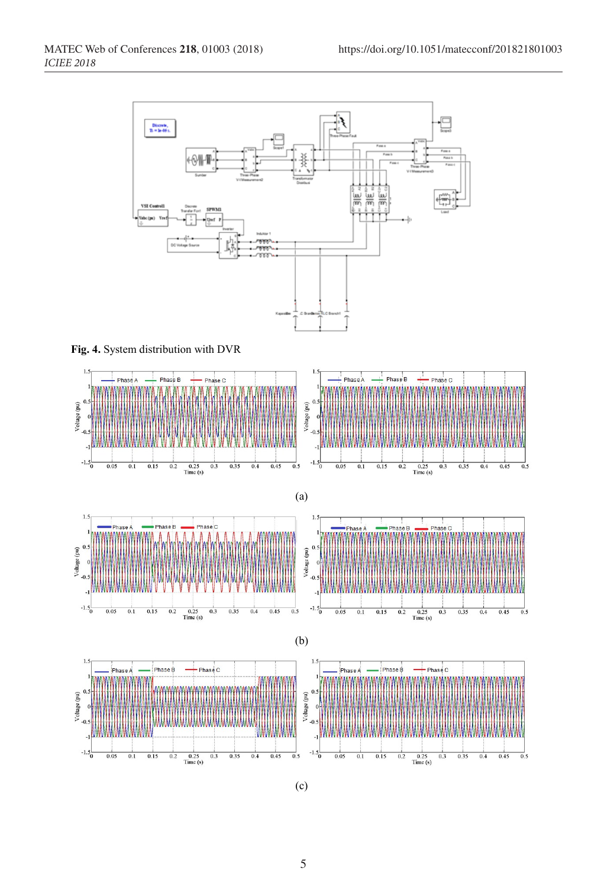

(c)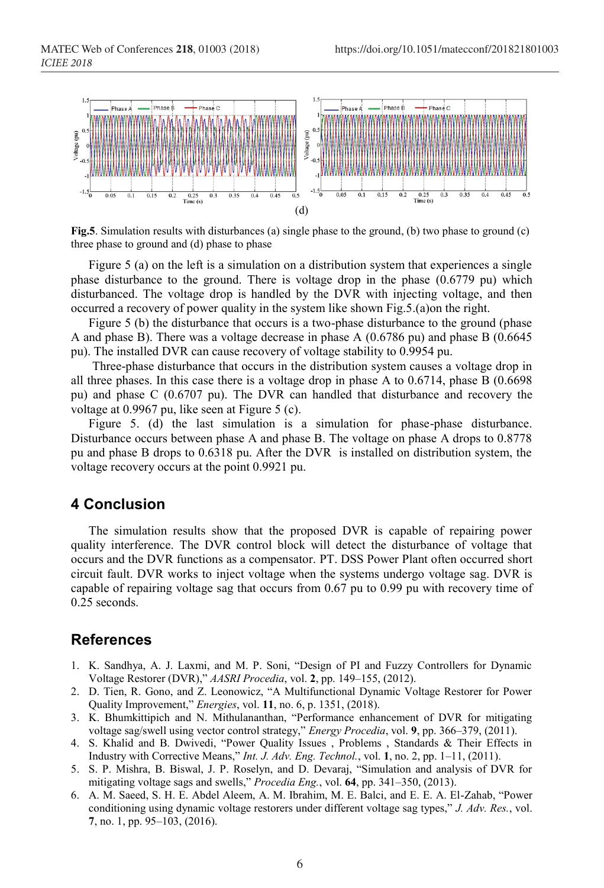

**Fig.5**. Simulation results with disturbances (a) single phase to the ground, (b) two phase to ground (c) three phase to ground and (d) phase to phase

Figure 5 (a) on the left is a simulation on a distribution system that experiences a single phase disturbance to the ground. There is voltage drop in the phase (0.6779 pu) which disturbanced. The voltage drop is handled by the DVR with injecting voltage, and then occurred a recovery of power quality in the system like shown Fig.5.(a)on the right.

Figure 5 (b) the disturbance that occurs is a two-phase disturbance to the ground (phase A and phase B). There was a voltage decrease in phase A (0.6786 pu) and phase B (0.6645 pu). The installed DVR can cause recovery of voltage stability to 0.9954 pu.

Three-phase disturbance that occurs in the distribution system causes a voltage drop in all three phases. In this case there is a voltage drop in phase A to 0.6714, phase B (0.6698 pu) and phase C (0.6707 pu). The DVR can handled that disturbance and recovery the voltage at 0.9967 pu, like seen at Figure 5 (c).

Figure 5. (d) the last simulation is a simulation for phase-phase disturbance. Disturbance occurs between phase A and phase B. The voltage on phase A drops to 0.8778 pu and phase B drops to 0.6318 pu. After the DVR is installed on distribution system, the voltage recovery occurs at the point 0.9921 pu.

## **4 Conclusion**

The simulation results show that the proposed DVR is capable of repairing power quality interference. The DVR control block will detect the disturbance of voltage that occurs and the DVR functions as a compensator. PT. DSS Power Plant often occurred short circuit fault. DVR works to inject voltage when the systems undergo voltage sag. DVR is capable of repairing voltage sag that occurs from 0.67 pu to 0.99 pu with recovery time of 0.25 seconds.

## **References**

- 1. K. Sandhya, A. J. Laxmi, and M. P. Soni, "Design of PI and Fuzzy Controllers for Dynamic Voltage Restorer (DVR)," *AASRI Procedia*, vol. **2**, pp. 149–155, (2012).
- 2. D. Tien, R. Gono, and Z. Leonowicz, "A Multifunctional Dynamic Voltage Restorer for Power Quality Improvement," *Energies*, vol. **11**, no. 6, p. 1351, (2018).
- 3. K. Bhumkittipich and N. Mithulananthan, "Performance enhancement of DVR for mitigating voltage sag/swell using vector control strategy," *Energy Procedia*, vol. **9**, pp. 366–379, (2011).
- 4. S. Khalid and B. Dwivedi, "Power Quality Issues , Problems , Standards & Their Effects in Industry with Corrective Means," *Int. J. Adv. Eng. Technol.*, vol. **1**, no. 2, pp. 1–11, (2011).
- 5. S. P. Mishra, B. Biswal, J. P. Roselyn, and D. Devaraj, "Simulation and analysis of DVR for mitigating voltage sags and swells," *Procedia Eng.*, vol. **64**, pp. 341–350, (2013).
- 6. A. M. Saeed, S. H. E. Abdel Aleem, A. M. Ibrahim, M. E. Balci, and E. E. A. El-Zahab, "Power conditioning using dynamic voltage restorers under different voltage sag types," *J. Adv. Res.*, vol. **7**, no. 1, pp. 95–103, (2016).